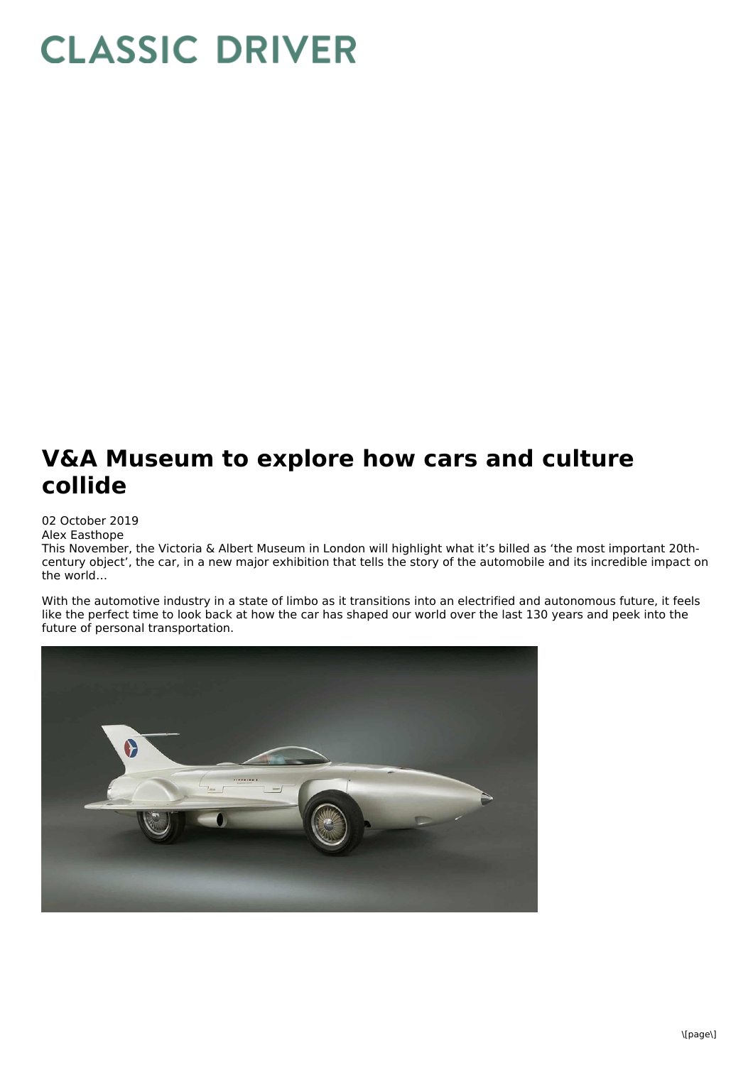## **CLASSIC DRIVER**

## **V&A Museum to explore how cars and culture collide**

02 October 2019

Alex Easthope

This November, the Victoria & Albert Museum in London will highlight what it's billed as 'the most important 20thcentury object', the car, in a new major exhibition that tells the story of the automobile and its incredible impact on the world…

With the automotive industry in a state of limbo as it transitions into an electrified and autonomous future, it feels like the perfect time to look back at how the car has shaped our world over the last 130 years and peek into the future of personal transportation.